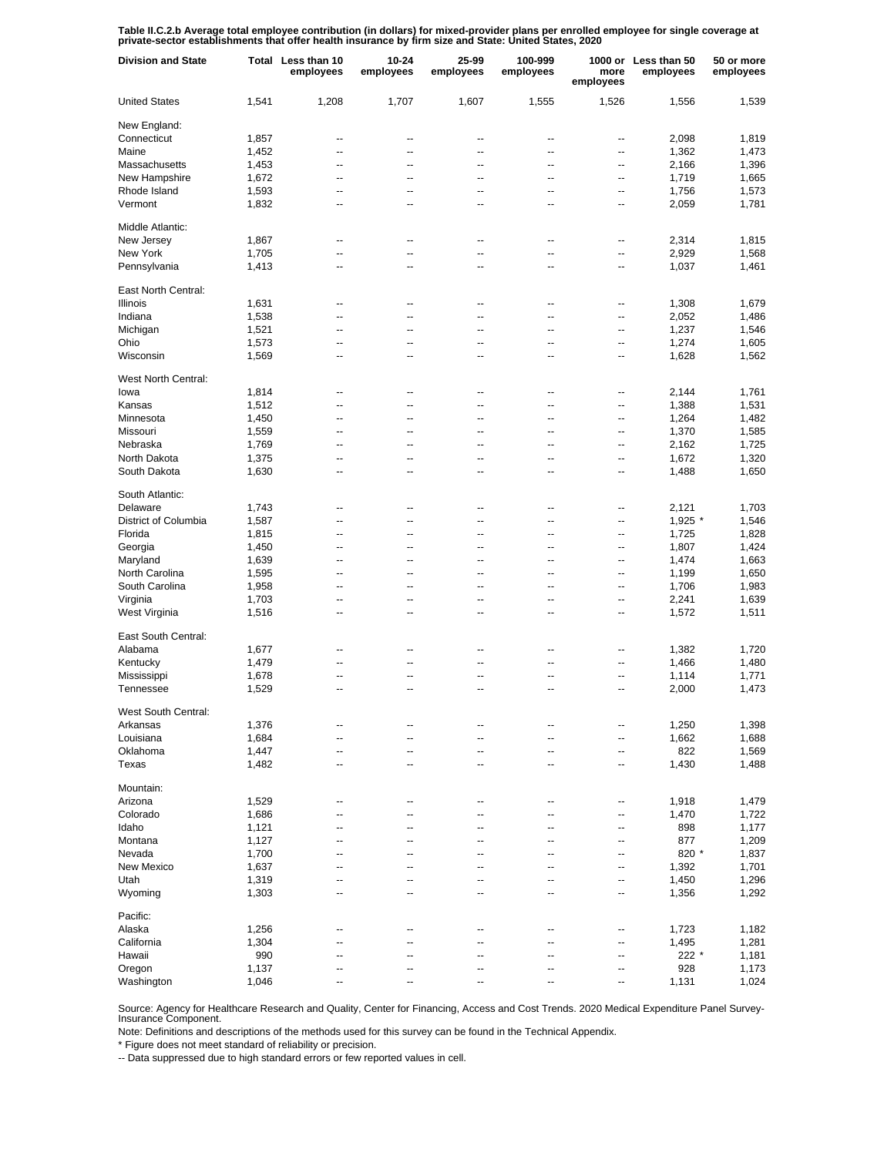Table II.C.2.b Average total employee contribution (in dollars) for mixed-provider plans per enrolled employee for single coverage at<br>private-sector establishments that offer health insurance by firm size and State: United

| <b>Division and State</b> |       | Total Less than 10<br>employees | $10 - 24$<br>employees | 25-99<br>employees       | 100-999<br>employees | more<br>employees | 1000 or Less than 50<br>employees | 50 or more<br>employees |
|---------------------------|-------|---------------------------------|------------------------|--------------------------|----------------------|-------------------|-----------------------------------|-------------------------|
| <b>United States</b>      | 1,541 | 1,208                           | 1,707                  | 1,607                    | 1,555                | 1,526             | 1,556                             | 1,539                   |
| New England:              |       |                                 |                        |                          |                      |                   |                                   |                         |
| Connecticut               | 1,857 | --                              | --                     | --                       | --                   | --                | 2,098                             | 1,819                   |
| Maine                     | 1,452 | --                              | --                     | --                       | --                   | --                | 1,362                             | 1,473                   |
| Massachusetts             | 1,453 | --                              | --                     | --                       | --                   | --                | 2,166                             | 1,396                   |
| New Hampshire             | 1,672 | $\overline{\phantom{a}}$        | --                     | --                       | --                   | --                | 1,719                             | 1,665                   |
| Rhode Island              | 1,593 | --                              | --                     | --                       | --                   | --                | 1,756                             | 1,573                   |
| Vermont                   | 1,832 | $\overline{\phantom{a}}$        | --                     | --                       | --                   | --                | 2,059                             | 1,781                   |
| Middle Atlantic:          |       |                                 |                        |                          |                      |                   |                                   |                         |
| New Jersey                | 1,867 | --                              | --                     | --                       | --                   | --                | 2,314                             | 1,815                   |
| New York                  | 1,705 | --                              | ٠.                     | --                       | --                   | --                | 2,929                             | 1,568                   |
| Pennsylvania              | 1,413 | --                              | --                     | --                       | --                   | --                | 1,037                             | 1,461                   |
| East North Central:       |       |                                 |                        |                          |                      |                   |                                   |                         |
| Illinois                  | 1,631 | --                              | --                     | --                       | ۰.                   | --                | 1,308                             | 1,679                   |
| Indiana                   | 1,538 | --                              | --                     | --                       | ۰.                   | --                | 2,052                             | 1,486                   |
| Michigan                  | 1,521 | --                              | --                     | --                       | --                   | --                | 1,237                             | 1,546                   |
| Ohio                      | 1,573 | ۰.                              | --                     | --                       | --                   | --                | 1,274                             | 1,605                   |
| Wisconsin                 | 1,569 | --                              | --                     | $\overline{a}$           | --                   | --                | 1,628                             | 1,562                   |
| West North Central:       |       |                                 |                        |                          |                      |                   |                                   |                         |
| lowa                      | 1,814 | --                              | --                     | --                       | --                   | --                | 2,144                             | 1,761                   |
| Kansas                    | 1,512 | --                              | --                     | --                       | --                   | --                | 1,388                             | 1,531                   |
| Minnesota                 | 1,450 | --                              | --                     | --                       | --                   | --                | 1,264                             | 1,482                   |
| Missouri                  |       | $\overline{\phantom{a}}$        | --                     | --                       | --                   | --                | 1,370                             |                         |
|                           | 1,559 |                                 |                        |                          |                      |                   |                                   | 1,585                   |
| Nebraska<br>North Dakota  | 1,769 | --                              | --                     | --                       | --                   | --                | 2,162                             | 1,725                   |
|                           | 1,375 | $\overline{\phantom{a}}$<br>--  | --<br>--               | --<br>--                 | --<br>--             | --<br>--          | 1,672                             | 1,320<br>1,650          |
| South Dakota              | 1,630 |                                 |                        |                          |                      |                   | 1,488                             |                         |
| South Atlantic:           |       |                                 |                        |                          |                      |                   |                                   |                         |
| Delaware                  | 1,743 | --                              | ц.                     | ٠.                       | --                   | --                | 2,121                             | 1,703                   |
| District of Columbia      | 1,587 | --                              | --                     | --                       | --                   | --                | 1,925 *                           | 1,546                   |
| Florida                   | 1,815 | --                              | --                     | --                       | --                   | --                | 1,725                             | 1,828                   |
| Georgia                   | 1,450 | --                              | --                     | --                       | --                   | --                | 1,807                             | 1,424                   |
| Maryland                  | 1,639 | --                              | --                     | --                       | --                   | --                | 1,474                             | 1,663                   |
| North Carolina            | 1,595 | --                              | --                     | --                       | --                   | --                | 1,199                             | 1,650                   |
| South Carolina            | 1,958 | --                              | ٠.                     | --                       | --                   | --                | 1,706                             | 1,983                   |
| Virginia                  | 1,703 | --                              | --                     | --                       | --                   | --                | 2,241                             | 1,639                   |
| West Virginia             | 1,516 | --                              | --                     | --                       | --                   | --                | 1,572                             | 1,511                   |
| East South Central:       |       |                                 |                        |                          |                      |                   |                                   |                         |
| Alabama                   | 1,677 | --                              | --                     | --                       | --                   | --                | 1,382                             | 1,720                   |
| Kentucky                  | 1,479 | --                              | --                     | ц.                       | ۵.                   | --                | 1,466                             | 1,480                   |
| Mississippi               | 1,678 | --                              | --                     | ٠.                       | --                   | --                | 1,114                             | 1,771                   |
| Tennessee                 | 1,529 | $\overline{a}$                  | $\overline{a}$         | $\overline{a}$           | $\overline{a}$       | --                | 2,000                             | 1,473                   |
| West South Central:       |       |                                 |                        |                          |                      |                   |                                   |                         |
| Arkansas                  | 1,376 | --                              | --                     | --                       |                      | --                | 1,250                             | 1,398                   |
| Louisiana                 | 1,684 | --                              | --                     | --                       | --                   | --                | 1,662                             | 1,688                   |
| Oklahoma                  | 1,447 | --                              | --                     | --                       | --                   | --                | 822                               | 1,569                   |
| Texas                     | 1,482 | $\overline{\phantom{a}}$        | --                     | $\overline{\phantom{a}}$ | --                   | --                | 1,430                             | 1,488                   |
| Mountain:                 |       |                                 |                        |                          |                      |                   |                                   |                         |
| Arizona                   | 1,529 | --                              | --                     | ٠.                       | --                   | --                | 1,918                             | 1,479                   |
| Colorado                  | 1,686 | --                              | ٠.                     | --                       | --                   | ٠.                | 1,470                             | 1,722                   |
| Idaho                     | 1,121 | --                              | ٠.                     | --                       | --                   | ٠.                | 898                               | 1,177                   |
| Montana                   | 1,127 | --                              | ٠.                     | ٠.                       | --                   | ٠.                | 877                               | 1,209                   |
| Nevada                    | 1,700 | --                              | ٠.                     | --                       | --                   | ٠.                | 820 *                             | 1,837                   |
| New Mexico                | 1,637 | --                              | ٠.                     | ٠.                       | --                   | --                | 1,392                             | 1,701                   |
| Utah                      | 1,319 | --                              | --                     | --                       | --                   | --                | 1,450                             | 1,296                   |
| Wyoming                   | 1,303 | --                              | ٠.                     | --                       | --                   | --                | 1,356                             | 1,292                   |
| Pacific:                  |       |                                 |                        |                          |                      |                   |                                   |                         |
| Alaska                    | 1,256 | --                              | --                     | --                       | --                   | --                | 1,723                             | 1,182                   |
| California                | 1,304 | --                              | ٠.                     | ц.                       | Ξ.                   | --                | 1,495                             | 1,281                   |
| Hawaii                    | 990   | --                              | --                     | ٠.                       | --                   | --                | 222 *                             | 1,181                   |
| Oregon                    | 1,137 | --                              | ٠.                     | --                       | --                   | --                | 928                               | 1,173                   |
| Washington                | 1,046 | $\overline{a}$                  | ÷-                     | --                       | --                   | --                | 1,131                             | 1,024                   |

Source: Agency for Healthcare Research and Quality, Center for Financing, Access and Cost Trends. 2020 Medical Expenditure Panel Survey-Insurance Component.

Note: Definitions and descriptions of the methods used for this survey can be found in the Technical Appendix.

\* Figure does not meet standard of reliability or precision.

-- Data suppressed due to high standard errors or few reported values in cell.